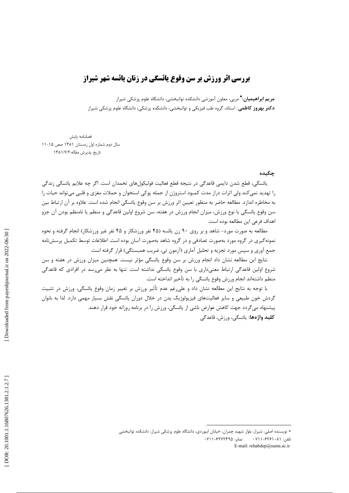# **بررسی اثر ورزش بر سن وقوع یائسگی در زنان یائسه شهر شیراز**

**مریم ابراهیمیان:\*** مربی، معاون آموزشی دانشکده توانبخشی، دانشگاه علوم پزشکی شیراز **دکتر بهروز کاظمی**: استاد، گروه طب فیزیکی و توانبخشی، دانشکده پزشکی، دانشگاه علوم پزشکی شیراز

فصلنامه يايش سال دوم شماره اول زمستان ۱۳۸۱ صص ۱۵-۱۱ تاريخ پذيرش مقاله: ١٣٨١/٧/٢

#### چکیده

يائسگي، قطع شدن دايمي قاعدگي در نتيجه قطع فعاليت فوليكولهاي تخمدان است. اگر جه علايم پائسگي زندگي را تهدید نمی کند ولی اثرات دراز مدت کمبود استروژن از جمله پوکی استخوان و حملات مغزی و قلبی میتواند حیات را به مخاطره اندازد. مطالعه حاضر به منظور تعيين اثر ورزش بر سن وقوع يائسگي انجام شده است. علاوه بر آن ارتباط بين سن وقوع یائسگی با نوع ورزش، میزان انجام ورزش در هفته، سن شروع اولین قاعدگی و منظم یا نامنظم بودن آن جزو اهداف فرعي اين مطالعه بوده است.

مطالعه به صورت مورد- شاهد و بر روی ۹۰ زن یائسه (۴۵ نفر ورزشکار و ۴۵ نفر غیر ورزشکار) انجام گرفته و نحوه نمونه گیری در گروه مورد بهصورت تصادفی و در گروه شاهد بهصورت آسان بوده است. اطلاعات توسط تکمیل پرسشiامه جمع آوري و سپس مورد تجزيه و تحليل آماري (آزمون تي، ضريب همبستگي) قرار گرفته است.

نتايج اين مطالعه نشان داد انجام ورزش بر سن وقوع يائسگي مؤثر نيست. همچنين ميزان ورزش در هفته و سن شروع اولین قاعدگی ارتباط معنیداری با سن وقوع پائسگی نداشته است. تنها به نظر می رسد در افرادی که قاعدگی منظم داشتهاند انجام ورزش وقوع يائسگي را به تأخير انداخته است.

با توجه به نتايج اين مطالعه نشان داد و علىرغم عدم تأثير ورزش بر تغيير زمان وقوع يائسگي، ورزش در تثبيت گردش خون طبیعی و سایر فعالیتهای فیزیولوژیک بدن در خلال دوران یائسگی نقش بسیار مهمی دارد. لذا به بانوان پیشنهاد میگردد جهت کاهش عوارض ناشی از یائسگی، ورزش را در برنامه روزانه خود قرار دهند. **كليد واژەها:** يائسگى، ورزش، قاعدگى

<sup>\*</sup> نویسنده اصلی: شیراز، بلوار شهید چمران، خیابان ابیوردی، دانشگاه علوم پزشکی شیراز، دانشکده توانبخشی نمایر: ۶۲۷۲۴۹۵-۰۷۱۱ تلفن: ۰۷۱۱-۶۲۶۱۰۸۱ E-mail: rehabdep@sums.ac.ir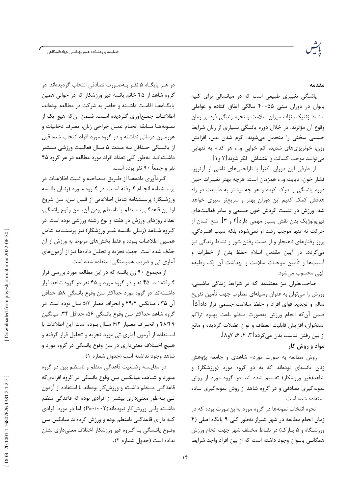فصلنامه پژوهشكده علوم بهداشتى جهاددانشگاهى

#### مقدمه

یائسگی تغییری طبیعی است که در میانسالی برای کلیه بانوان در دوران سنی ۵۵–۴۰ سالگی اتفاق افتاده و عواملی ماننند ژنتیک، نژاد، میزان سلامت و نحوه زندگی فرد بر زمان وقوع آن مؤثرند. در خلال دوره یائسگی بسیاری از زنان شرایط جسمی سختی را متحمل می شوند. گرم شدن بدن، افزایش وزن، خونریزی های شدید، کم خوابی و…، هر کدام به تنهایی می توانند موجب کسالت و اغتشاش فکر شوند[۲ و ۱].

از طرفی این دوران اکثراً با ناراحتیهای ناشی از آرتروز، فشار خون، ديابت و...، همزمان است. هرچه بهتر تغييرات حين دوره پائسگی را درک کرده و هر چه بیشتر به طبیعت در راه هدفش کمک کنیم این دوران بهتر و سریعتر سپری خواهد شد. ورزش در تثبیت گردش خون طبیعی و سایر فعالیتهای فيزيولوژيک بدن نقش بسيار مهمي دارد[۴ و ۳]. منع انسان از حركت نه تنها موجب رشد او نمىشود، بلكه سبب افسردگى، بروز رفتارهای ناهنجار و از دست رفتن شور و نشاط زندگی نیز میگردد. در آیین مقدس اسلام حفظ بدن از خطرات و آسیبها و تأمین موجبات سلامت و بهداشت آن یک وظیفه الهي محسوب مي شود.

صاحب نظران نیز معتقدند که در شرایط زندگی ماشینی، ورزش را میتوان به عنوان وسیلهای مطلوب جهت تأمین تفریح سالم و تجدید قوای افراد و حفظ سلامت جسمی قرار داد[۵]. ضمن آنكه انجام ورزش بهصورت منظم باعث بهبود تراكم استخوان، افزایش قابلیت انعطاف و توان عضلات گردیده و مانع از بين رفتن تناسب بدن مي گردد [٣، ٤، ۶، ٧و٨].

## مواد و روش کار

روش مطالعه به صورت مورد- شاهدی و جامعه پژوهش زنان یائسهای بودهاند که به دو گروه مورد (ورزشکار) و شاهد(غیر ورزشکار) تقسیم شده اند. در گروه مورد از روش نمونه گیری تصادفی و در گروه شاهد از روش نمونهگیری ساده استفاده شده است.

نحوه انتخاب نمونهها در گروه مورد بهاینصورت بوده که در زمان انجام مطالعه در شهر شیراز بهطور کلی ۹ پایگاه اصلی (۴ ورزشگاه و ۵ پـارک) در نقـاط مختلف شهر جهت انجام ورزش همگانـی بانـوان وجود داشته است که از بین افراد واجد شرایط

در هـر پايگــاه ۵ نفــر بــهصــورت تصادفي انتخاب گرديدهاند. در گروه شاهد از ۴۵ خانم یائسه غیر ورزشکار که در حوالی همین يايگــاههــا اقامــت داشــته و حاضر به شركت در مطالعه بودهاند، اطلاعـات جمـع|َوري گـرديده اسـت. ضـمن أن كه هيچ يک از نمـونههـا سـابقه انجـام عمـل جراحي زنان، مصرف دخانيات و هورمـون درمانی نداشته و در گروه مورد افراد انتخاب شده قبل از یائـسگی حـداقل بـه مـدت ۵ سـال فعالـیت ورزشی مستمر داشـتهانـد. بهطور كلي تعداد افراد مورد مطالعه در هر گروه ۴۵ نفر و جمعاً ۹۰ نفر بوده است.

گردآوری دادههـا از طـریق مـصاحبه و ثـبت اطلاعـات در پرسشنامه انجـام گـرفته اسـت. در گـروه مـورد (زنـان يائـسه ورزشـكار) پرسـشنامه شامل اطلاعاتي از قبيل سن، سن شروع اولين قاعدگي، مـنظم يا نامنظم بودن آن، سن وقوع يائسگي، تعداد روزهای ورزش در هفته و نوع رشته ورزشی بوده است. در گـروه شـاهد (زنـان يائـسه غيـر ورزشكار) نيز پرسشنامه شامل همــين اطلاعـات بــوده و فقط بخشهاى مربوط به ورزش از آن حذف شده است. جهت تجزيه و تحليل دادهها نيز از آزمونهاي آماری تی و ضریب همبستگی استفاده شده است.

از مجموع ۹۰ زن یائسه که در این مطالعه مورد بررسی قرار گرفتهانـد، ۴۵ نفـر در گروه مورد و ۴۵ نفر در گروه شاهد قرار داشــتهاند. در گروه مورد حداكثر سن وقوع يائسگي ۵۸، حداقل آن ۳۵ ، میانگین ۴۹/۴ و انحراف معیار ۵/۳ سال بوده است. در گروه شاهد حداكثر سن وقوع يائسگي ۵۶، حداقل ۳۴، ميانگين ۴۸/۴۹ و انحراف معيار ۶/۲ سال بوده است. اين اطلاعات با اسـتفاده از آزمون آماري تي مورد تجزيه و تحليل قرار گرفته و هـيچ اخـتلاف معنىداري در سن وقوع يائسگي در گروه مورد و شاهد وجود نداشته است (جدول شماره ۱) .

در مقايــسه وضـعيت قاعدگي منظم و نامنظم بين دو گروه مـورد و شـاهد، ميانگـين سن وقوع يائسگي در گروه افراديكه قاعدگے منظم داشته و ورزش کار بودہاند با استفاده از آزمون تـی بـهطور معنیداری بیشتر از افرادی بوده که قاعدگی منظم داشــته ولــی ورزش کار نبودهاند(P=٠/٠٠٢). اما در مورد افرادی کـه دارای قاعدگــی نامنظم بوده و ورزش کردهاند میانگین سن وقـوع يائـسگي بـا گـروه غير ورزشكار اختلاف معنىداري نشان نداده است (جدول شماره ٢).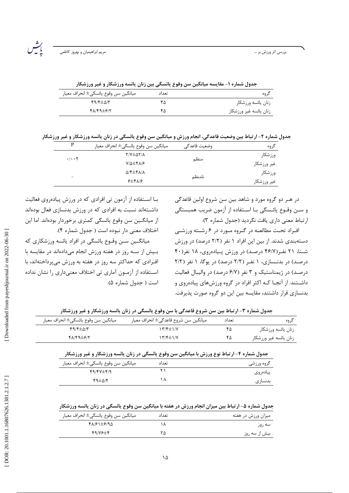رشر<br>پنجسر

| جدول شماره ۱- مقایسه میانگین سن وقوع یائسگی بین زنان یائسه ورزشکار و غیر ورزشکار |  |  |
|----------------------------------------------------------------------------------|--|--|
|                                                                                  |  |  |

| ميانگين سن وقوع يائسگي± انحراف معيار | تعداد | کروہ                   |
|--------------------------------------|-------|------------------------|
| $f9/F \pm \Delta/T$                  | ۴۵    | زنان يائسه ورزشكار     |
| $f\Lambda/f9\pm f/7$                 | ۴۵    | زنان يائسه غير ورزشكار |
|                                      |       |                        |

جدول شماره ۲- ارتباط بین وضعیت قاعدگی، انجام ورزش و میانگین سن وقوع یائسگی در زنان یائسه ورزشکار و غیر ورزشکار

| P                                 | ميانگين سن وقوع يائسگي± انحراف معيار      | وضعيت قاعدگي | گروه        |
|-----------------------------------|-------------------------------------------|--------------|-------------|
| $\cdot$ / $\cdot$ $\cdot$ $\cdot$ | $Y/Y \pm \Delta Y/\lambda$                |              | ورزشكار     |
|                                   | $Y/\Delta \pm Y\Lambda/F$                 | منظم         | غير ورزشكار |
|                                   | $\Delta$ /۴ $\pm$ ۴ $\Lambda$ / $\Lambda$ |              | ورزشكار     |
| -                                 | $5\pm 8$ $1/5$                            | نامنظم       | غير ورزشكار |

در هـر دو گروه مورد و شاهد بين سن شروع اولين قاعدگي و ســن وقــوع يائــسگى بــا اســتفاده از <sup>آ</sup>زمون ضريب همبستگى ارتباط معنى دارى يافت نكرديد (جدول شماره ٣).

افراد تحت مطالعه در گروه مورد در ۶ رشته ورزشی دستهبندی شدند. از بین این افراد ۱ نفر (۲/۲ درصد) در ورزش شـنا، ۲۱ نفـر(۴۶/۷ درصـد) در ورزش پـیادهروی، ۱۸ نفر(۴۰ درصد) در بدنـسازی، ۱ نفـر (۲/۲ درصد) در یوگا، ۱ نفر (۲/۲ درصد) در ژیمناستیک و ۳ نفر (۶/۷ درصد) در والیبال فعالیت داشـتند. از آنجـا کـه اکثر افراد در گروه ورزشهای پیادهروی و بدنسازی قرار داشتند، مقایسه بین این دو گروه صورت پذیرفت.

بـا اسـتفاده از آزمون تي افرادي كه در ورزش پيادهروي فعاليت داشـتهاند نسبت به افرادی که در ورزش بدنسازی فعال بودهاند از میانگـین سن وقوع یائسگی کمتری برخوردار بودهاند. اما این اختلاف معنى دار نبوده است ( جدول شماره ۴).

میانگـین سـن وقـوع پائسگی در افراد پائسه ورزشکاری که بیش از سه روز در هفته ورزش انجام میدادهاند در مقایسه با افرادی که حداکثر سه روز در هفته به ورزش می پرداختهاند، با اسـتفاده از آزمـون آماري تي اختلاف معنىداري را نشان نداده است ( جدول شماره ۵).

| جدول سماره ۱– از تباط بین سن سروع قاعدتی با سن وقوع یانسکی در زنان یانسه ورزسکار و عیر ورزسکار |                                      |       |                        |
|------------------------------------------------------------------------------------------------|--------------------------------------|-------|------------------------|
| ميانگين سن وقوع يائسگي± انحراف معيار                                                           | ميانگين سن شروع قاعدگي± انحراف معيار | تعداد | کر وہ                  |
| $f9/F \pm \Delta/T$                                                                            | ۱۳/۴±۱/۷                             | ٣۵    | زنان يائسه ورزشكار     |
| 48149±617                                                                                      | ۱۳/۴±۱/۷                             | ۴۵    | زنان يائسه غير ورزشكار |

| جدول شماره ۴- ارتباط نوع ورزش با میانگین سن وقوع یائسگی در زنان یائسه ورزشکار و غیر ورزشکار |       |                |  |
|---------------------------------------------------------------------------------------------|-------|----------------|--|
| ميانگين سن وقوع يائسگي± انحراف معيار                                                        | تعداد | گروه ورزشی     |  |
| $49/4V \pm 4/9$                                                                             |       | ییادەروی       |  |
| $69 + N$                                                                                    |       | المحتار المتعر |  |

جدول شماره ۵- ارتباط بین میزان انجام ورزش در هفته با میانگین سن وقوع یائسگی در زنان یائسه ورزشکار

| ميانگين سن وقوع يائسگي± انحراف معيار | تعداد | میزان ورزش در هفته |
|--------------------------------------|-------|--------------------|
| 18/91±6/9                            |       | سه روز             |
| 44/19                                | ۲۵    | بیش از سه روز      |

١۵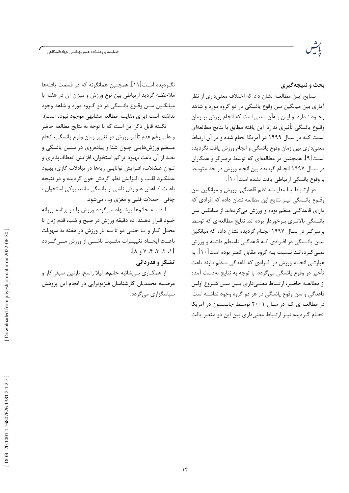.<br>فصلنامه پژوهشکده علوم بهداشتی جهاددانشگاهی

بحث و نتیجهگیری

نــتايج ايــن مطالعــه نشان داد كه اختلاف معنىدارى از نظر آماري بين ميانگين سن وقوع پائسگي در دو گروه مورد و شاهد وجــود نــدارد. و ايــن بــهآن معنى است كه انجام ورزش بر زمان وقــوع يائسگي تأثيري ندارد. اين يافته مطابق با نتايج مطالعهاي است کـه در سـال ۱۹۹۹ در آمریکا انجام شده و در آن ارتباط معنیداری بین زمان وقوع پائسگی و انجام ورزش یافت نگردیده اسـت[۹]. همچنین در مطالعهای که توسط برمبرگر و همکاران در سـال ۱۹۹۷ انجـام گردیده بین انجام ورزش در حد متوسط با وقوع يائسگي ارتباطي يافت نشده است[١٠].

در ارتـباط بــا مقايــسه نظم قاعدگي، ورزش و ميانگين سن وقـوع يائـسگى نيـز نتايج اين مطالعه نشان داده كه افرادى كه دارای قاعدگـی منظم بوده و ورزش می کردهاند از میانگین سن یائـسگی بالاتـری بـرخوردار بوده اند. نتایج مطالعهای که توسط برمبرگـر در سـال ۱۹۹۷ انجـام گردیده نشان داده که میانگین سـن پائـسگے در افـرادی کـه قاعدگـے نامنظم داشته و ورزش نمـی کـردهانـد نـسبت بـه گروه مقابل کمتر بوده است[۱۰]. به عبارتے انجـام ورزش در افـرادی که قاعدگی منظم دارند باعث تأخير در وقوع يائسگي مي گردد. با توجه به نتايج بهدست آمده از مطالعـه حاضـر، ارتـباط معنـی۱داری بـین سـن شـروع اولین قاعدگی و سن وقوع پائسگی در هر دو گروه وجود نداشته است. در مطالعـهای کـه در سـال ۲۰۰۱ توسـط جانـستون در آمریکا انجـام گـرديده نيـز ارتـباط معنىدارى بين اين دو متغير يافت

نگـردیده اسـت[۱۱]. همچنین همانگونه که در قسمت یافتهها ملاحظـه گرديد ارتباطي بين نوع ورزش و ميزان آن در هفته با ميانگــين ســن وقــوع پائــسگے در دو گــروه مورد و شاهد وجود نداشته است (برای مقایسه مطالعه مشابهی موجود نبوده است).

نكــته قابل ذكر اين است كه با توجه به نتايج مطالعه حاضر و علــي(غم عدم تأثير ورزش در تغيير زمان وقوع يائسگي، انجام مـنظم ورزشهایـی چـون شنا و پیادهروی در سنین پائسگی و بعـد از آن باعث بهبود تراكم استخوان، افزايش انعطافپذيري و تـوان عـضلات، افـزايش توانايـى ريهها در تبادلات گازى، بهبود عملکـرد قلـب و افـزايش نظم گردش خون گرديده و در نتيجه باعث كـاهش عـوارض ناشي از يائسگي مانند پوكي استخوان ، چاقي . حملات قلبي و مغزي و…، مي شود.

لـذا بـه خانمها پیشنهاد میگردد ورزش را در برنامه روزانه خــود قــرار دهــند. ده دقيقه ورزش در صبح و شب، قدم زدن تا محـل كـار و يـا حتـى دو تا سه بار ورزش در هفته به سهو.لت باعــث ايجــاد تغييــرات مثــبت ناشـــي از ورزش مـــي گــردد  $[ \wedge , \wedge , \wedge , \vee , \wedge ]$ 

تشکر و قدردانی

از همكـاري بـيشائبه خانمها ليلا راسخ، نازنين صيفيكار و مرضیه محمدیان کارشناسان فیزیوتراپی در انجام این پژوهش سیاسگزاری مے گردد.